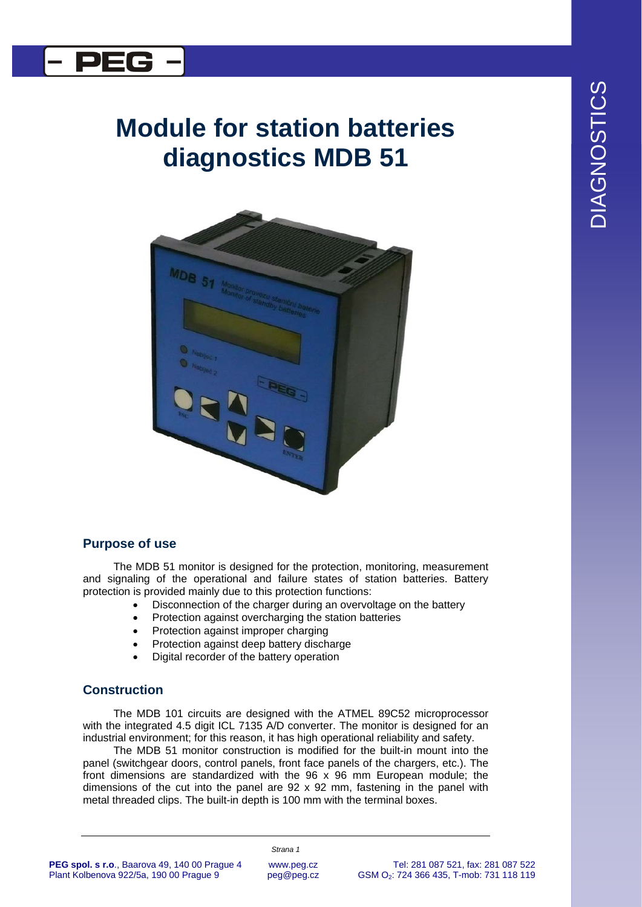

## **Module for station batteries diagnostics MDB 51**



## **Purpose of use**

The MDB 51 monitor is designed for the protection, monitoring, measurement and signaling of the operational and failure states of station batteries. Battery protection is provided mainly due to this protection functions:

- Disconnection of the charger during an overvoltage on the battery
- Protection against overcharging the station batteries
- Protection against improper charging
- Protection against deep battery discharge
- Digital recorder of the battery operation

## **Construction**

The MDB 101 circuits are designed with the ATMEL 89C52 microprocessor with the integrated 4.5 digit ICL 7135 A/D converter. The monitor is designed for an industrial environment; for this reason, it has high operational reliability and safety.

The MDB 51 monitor construction is modified for the built-in mount into the panel (switchgear doors, control panels, front face panels of the chargers, etc.). The front dimensions are standardized with the 96 x 96 mm European module; the dimensions of the cut into the panel are  $92 \times 92$  mm, fastening in the panel with metal threaded clips. The built-in depth is 100 mm with the terminal boxes.

**PEG spol. s r.o**., Baarova 49, 140 00 Prague 4 Plant Kolbenova 922/5a, 190 00 Prague 9